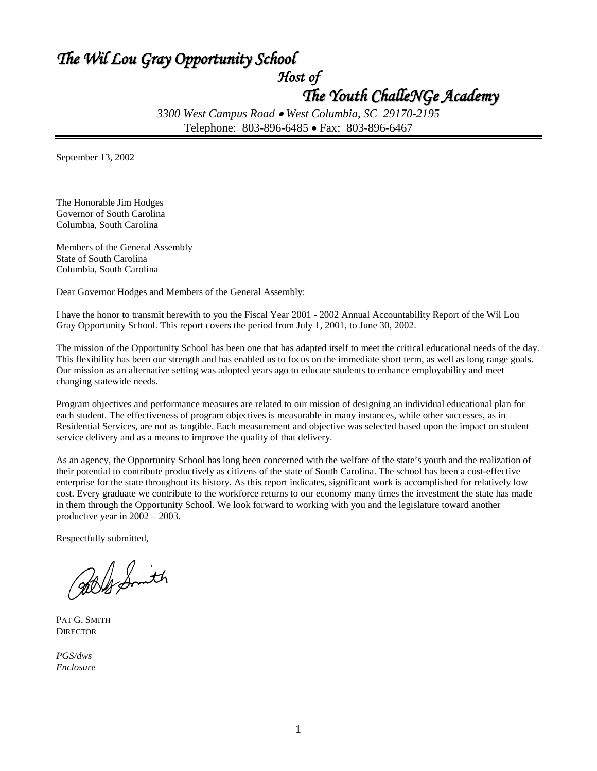### *The Wil Lou Gray Opportunity School*

*Host of* 

### *The Youth ChalleNGe Academy*

*3300 West Campus Road* • *West Columbia, SC 29170-2195* Telephone: 803-896-6485 • Fax: 803-896-6467

September 13, 2002

The Honorable Jim Hodges Governor of South Carolina Columbia, South Carolina

Members of the General Assembly State of South Carolina Columbia, South Carolina

Dear Governor Hodges and Members of the General Assembly:

I have the honor to transmit herewith to you the Fiscal Year 2001 - 2002 Annual Accountability Report of the Wil Lou Gray Opportunity School. This report covers the period from July 1, 2001, to June 30, 2002.

The mission of the Opportunity School has been one that has adapted itself to meet the critical educational needs of the day. This flexibility has been our strength and has enabled us to focus on the immediate short term, as well as long range goals. Our mission as an alternative setting was adopted years ago to educate students to enhance employability and meet changing statewide needs.

Program objectives and performance measures are related to our mission of designing an individual educational plan for each student. The effectiveness of program objectives is measurable in many instances, while other successes, as in Residential Services, are not as tangible. Each measurement and objective was selected based upon the impact on student service delivery and as a means to improve the quality of that delivery.

As an agency, the Opportunity School has long been concerned with the welfare of the state's youth and the realization of their potential to contribute productively as citizens of the state of South Carolina. The school has been a cost-effective enterprise for the state throughout its history. As this report indicates, significant work is accomplished for relatively low cost. Every graduate we contribute to the workforce returns to our economy many times the investment the state has made in them through the Opportunity School. We look forward to working with you and the legislature toward another productive year in 2002 – 2003.

Respectfully submitted,

Ble Smith

PAT G. SMITH **DIRECTOR** 

*PGS/dws Enclosure*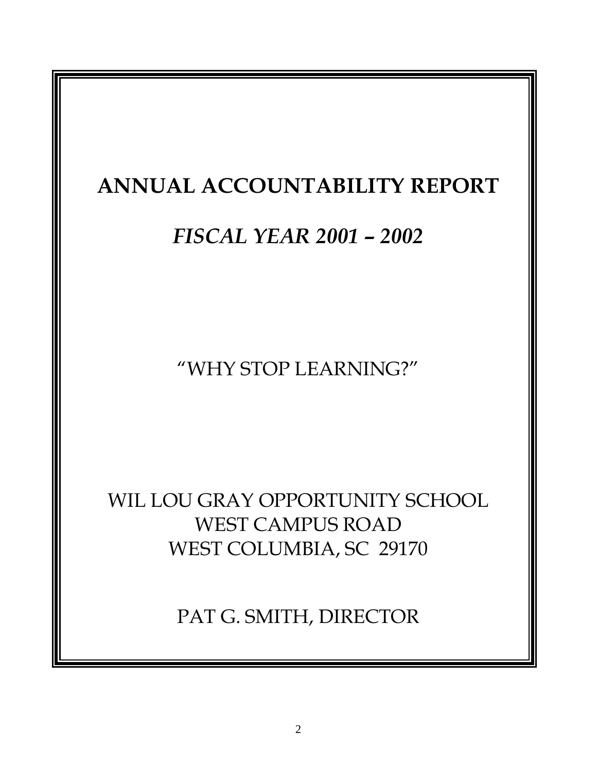## **ANNUAL ACCOUNTABILITY REPORT**

## *FISCAL YEAR 2001 – 2002*

"WHY STOP LEARNING?"

WIL LOU GRAY OPPORTUNITY SCHOOL WEST CAMPUS ROAD WEST COLUMBIA, SC 29170

PAT G. SMITH, DIRECTOR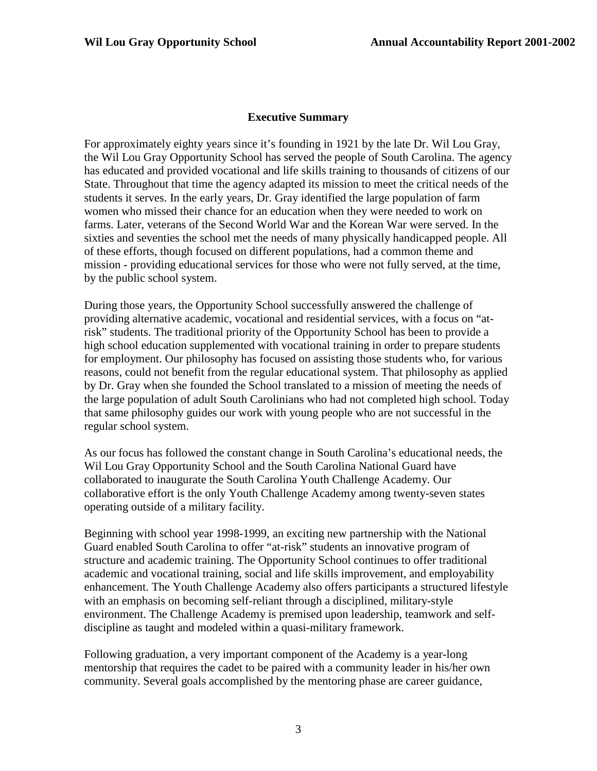#### **Executive Summary**

For approximately eighty years since it's founding in 1921 by the late Dr. Wil Lou Gray, the Wil Lou Gray Opportunity School has served the people of South Carolina. The agency has educated and provided vocational and life skills training to thousands of citizens of our State. Throughout that time the agency adapted its mission to meet the critical needs of the students it serves. In the early years, Dr. Gray identified the large population of farm women who missed their chance for an education when they were needed to work on farms. Later, veterans of the Second World War and the Korean War were served. In the sixties and seventies the school met the needs of many physically handicapped people. All of these efforts, though focused on different populations, had a common theme and mission - providing educational services for those who were not fully served, at the time, by the public school system.

During those years, the Opportunity School successfully answered the challenge of providing alternative academic, vocational and residential services, with a focus on "atrisk" students. The traditional priority of the Opportunity School has been to provide a high school education supplemented with vocational training in order to prepare students for employment. Our philosophy has focused on assisting those students who, for various reasons, could not benefit from the regular educational system. That philosophy as applied by Dr. Gray when she founded the School translated to a mission of meeting the needs of the large population of adult South Carolinians who had not completed high school. Today that same philosophy guides our work with young people who are not successful in the regular school system.

As our focus has followed the constant change in South Carolina's educational needs, the Wil Lou Gray Opportunity School and the South Carolina National Guard have collaborated to inaugurate the South Carolina Youth Challenge Academy. Our collaborative effort is the only Youth Challenge Academy among twenty-seven states operating outside of a military facility.

Beginning with school year 1998-1999, an exciting new partnership with the National Guard enabled South Carolina to offer "at-risk" students an innovative program of structure and academic training. The Opportunity School continues to offer traditional academic and vocational training, social and life skills improvement, and employability enhancement. The Youth Challenge Academy also offers participants a structured lifestyle with an emphasis on becoming self-reliant through a disciplined, military-style environment. The Challenge Academy is premised upon leadership, teamwork and selfdiscipline as taught and modeled within a quasi-military framework.

Following graduation, a very important component of the Academy is a year-long mentorship that requires the cadet to be paired with a community leader in his/her own community. Several goals accomplished by the mentoring phase are career guidance,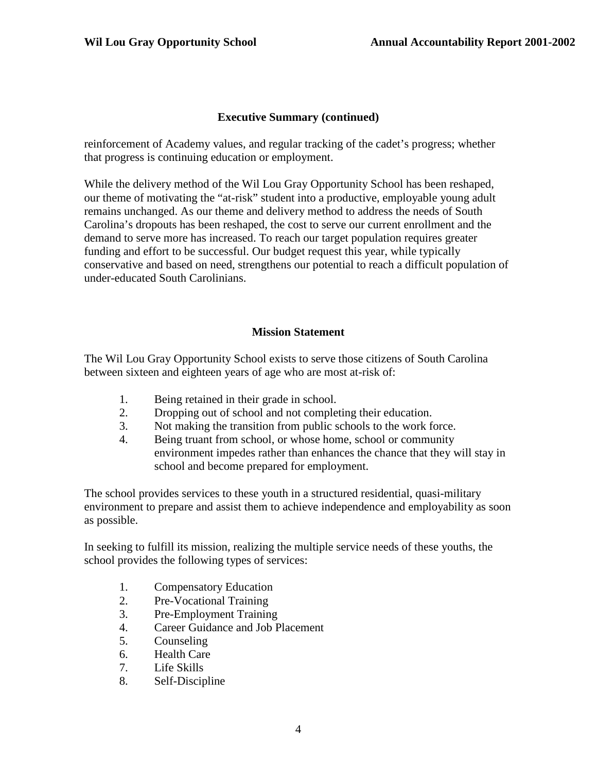#### **Executive Summary (continued)**

reinforcement of Academy values, and regular tracking of the cadet's progress; whether that progress is continuing education or employment.

While the delivery method of the Wil Lou Gray Opportunity School has been reshaped, our theme of motivating the "at-risk" student into a productive, employable young adult remains unchanged. As our theme and delivery method to address the needs of South Carolina's dropouts has been reshaped, the cost to serve our current enrollment and the demand to serve more has increased. To reach our target population requires greater funding and effort to be successful. Our budget request this year, while typically conservative and based on need, strengthens our potential to reach a difficult population of under-educated South Carolinians.

#### **Mission Statement**

The Wil Lou Gray Opportunity School exists to serve those citizens of South Carolina between sixteen and eighteen years of age who are most at-risk of:

- 1. Being retained in their grade in school.
- 2. Dropping out of school and not completing their education.
- 3. Not making the transition from public schools to the work force.
- 4. Being truant from school, or whose home, school or community environment impedes rather than enhances the chance that they will stay in school and become prepared for employment.

The school provides services to these youth in a structured residential, quasi-military environment to prepare and assist them to achieve independence and employability as soon as possible.

In seeking to fulfill its mission, realizing the multiple service needs of these youths, the school provides the following types of services:

- 1. Compensatory Education
- 2. Pre-Vocational Training
- 3. Pre-Employment Training
- 4. Career Guidance and Job Placement
- 5. Counseling
- 6. Health Care
- 7. Life Skills
- 8. Self-Discipline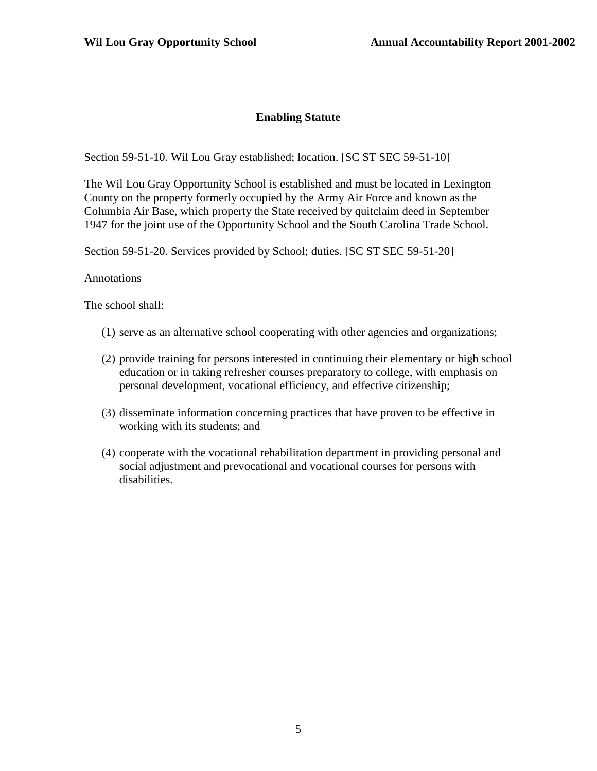#### **Enabling Statute**

Section 59-51-10. Wil Lou Gray established; location. [SC ST SEC 59-51-10]

The Wil Lou Gray Opportunity School is established and must be located in Lexington County on the property formerly occupied by the Army Air Force and known as the Columbia Air Base, which property the State received by quitclaim deed in September 1947 for the joint use of the Opportunity School and the South Carolina Trade School.

Section 59-51-20. Services provided by School; duties. [SC ST SEC 59-51-20]

#### Annotations

The school shall:

- (1) serve as an alternative school cooperating with other agencies and organizations;
- (2) provide training for persons interested in continuing their elementary or high school education or in taking refresher courses preparatory to college, with emphasis on personal development, vocational efficiency, and effective citizenship;
- (3) disseminate information concerning practices that have proven to be effective in working with its students; and
- (4) cooperate with the vocational rehabilitation department in providing personal and social adjustment and prevocational and vocational courses for persons with disabilities.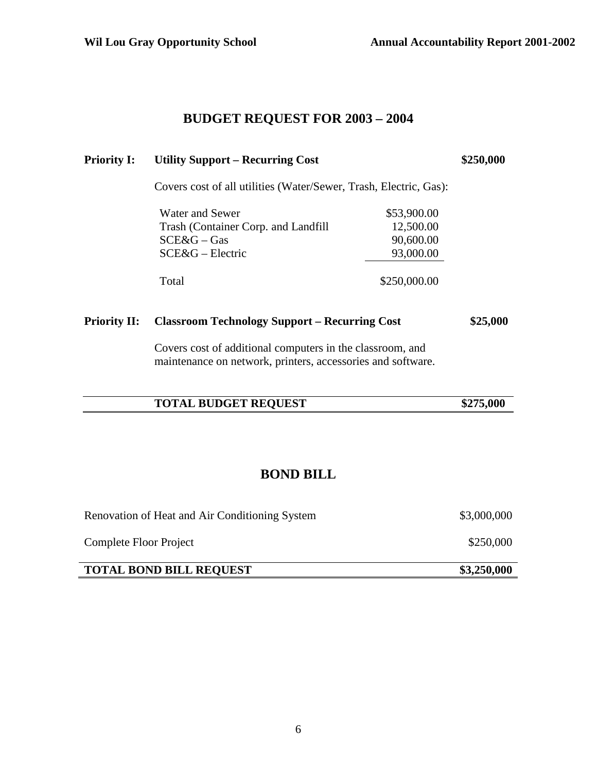#### **BUDGET REQUEST FOR 2003 – 2004**

| <b>Priority I:</b>  | <b>Utility Support – Recurring Cost</b>                           | \$250,000    |          |
|---------------------|-------------------------------------------------------------------|--------------|----------|
|                     | Covers cost of all utilities (Water/Sewer, Trash, Electric, Gas): |              |          |
|                     | Water and Sewer                                                   | \$53,900.00  |          |
|                     | Trash (Container Corp. and Landfill)                              | 12,500.00    |          |
|                     | $SCE&G-Gas$                                                       | 90,600.00    |          |
|                     | $SCE&G$ – Electric                                                | 93,000.00    |          |
|                     | Total                                                             | \$250,000.00 |          |
| <b>Priority II:</b> | <b>Classroom Technology Support – Recurring Cost</b>              |              | \$25,000 |
|                     | Covers cost of additional computers in the classroom, and         |              |          |

Covers cost of additional computers in the classroom, and maintenance on network, printers, accessories and software.

| <b>TOTAL BUDGET REQUEST</b> |
|-----------------------------|
|-----------------------------|

### **BOND BILL**

| Renovation of Heat and Air Conditioning System | \$3,000,000 |
|------------------------------------------------|-------------|
| Complete Floor Project                         | \$250,000   |
| <b>TOTAL BOND BILL REQUEST</b>                 | \$3,250,000 |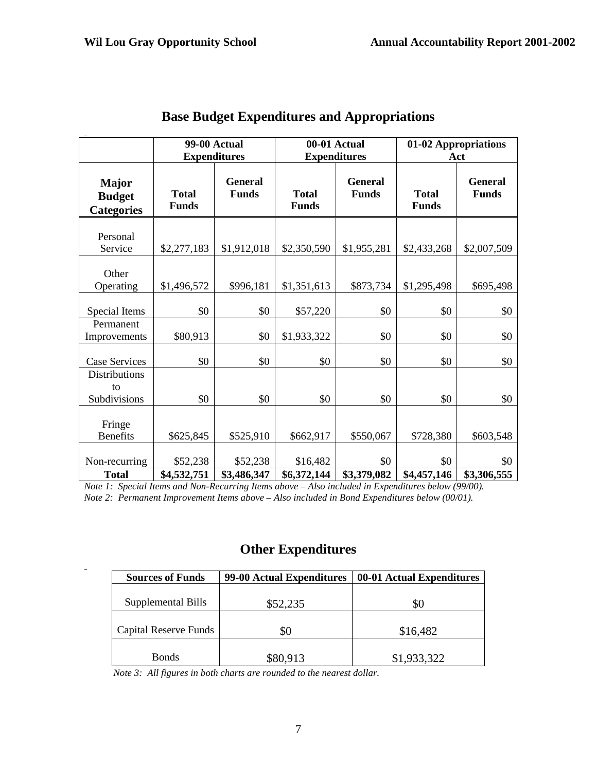|                                                    | <b>99-00 Actual</b><br><b>Expenditures</b> |                                | 00-01 Actual<br><b>Expenditures</b> |                                | 01-02 Appropriations<br>Act  |                                |
|----------------------------------------------------|--------------------------------------------|--------------------------------|-------------------------------------|--------------------------------|------------------------------|--------------------------------|
| <b>Major</b><br><b>Budget</b><br><b>Categories</b> | <b>Total</b><br><b>Funds</b>               | <b>General</b><br><b>Funds</b> | <b>Total</b><br><b>Funds</b>        | <b>General</b><br><b>Funds</b> | <b>Total</b><br><b>Funds</b> | <b>General</b><br><b>Funds</b> |
| Personal<br>Service                                | \$2,277,183                                | \$1,912,018                    | \$2,350,590                         | \$1,955,281                    | \$2,433,268                  | \$2,007,509                    |
| Other<br>Operating                                 | \$1,496,572                                | \$996,181                      | \$1,351,613                         | \$873,734                      | \$1,295,498                  | \$695,498                      |
| Special Items<br>Permanent                         | \$0                                        | \$0                            | \$57,220                            | \$0                            | \$0                          | \$0                            |
| Improvements                                       | \$80,913                                   | \$0                            | \$1,933,322                         | \$0                            | \$0                          | \$0                            |
| <b>Case Services</b><br><b>Distributions</b>       | \$0                                        | \$0                            | \$0                                 | \$0                            | \$0                          | \$0                            |
| to<br>Subdivisions                                 | \$0                                        | \$0                            | \$0                                 | \$0                            | \$0                          | \$0                            |
| Fringe<br><b>Benefits</b>                          | \$625,845                                  | \$525,910                      | \$662,917                           | \$550,067                      | \$728,380                    | \$603,548                      |
| Non-recurring<br><b>Total</b>                      | \$52,238<br>\$4,532,751                    | \$52,238<br>\$3,486,347        | \$16,482<br>\$6,372,144             | \$0<br>\$3,379,082             | \$0<br>\$4,457,146           | \$0<br>\$3,306,555             |

### **Base Budget Expenditures and Appropriations**

*Note 1: Special Items and Non-Recurring Items above – Also included in Expenditures below (99/00). Note 2: Permanent Improvement Items above – Also included in Bond Expenditures below (00/01).*

### **Other Expenditures**

| 99-00 Actual Expenditures | 00-01 Actual Expenditures |
|---------------------------|---------------------------|
|                           |                           |
|                           | 80                        |
| \$0                       | \$16,482                  |
|                           | \$1,933,322               |
|                           | \$52,235<br>\$80,913      |

*Note 3: All figures in both charts are rounded to the nearest dollar.*

 $\ddot{\phantom{1}}$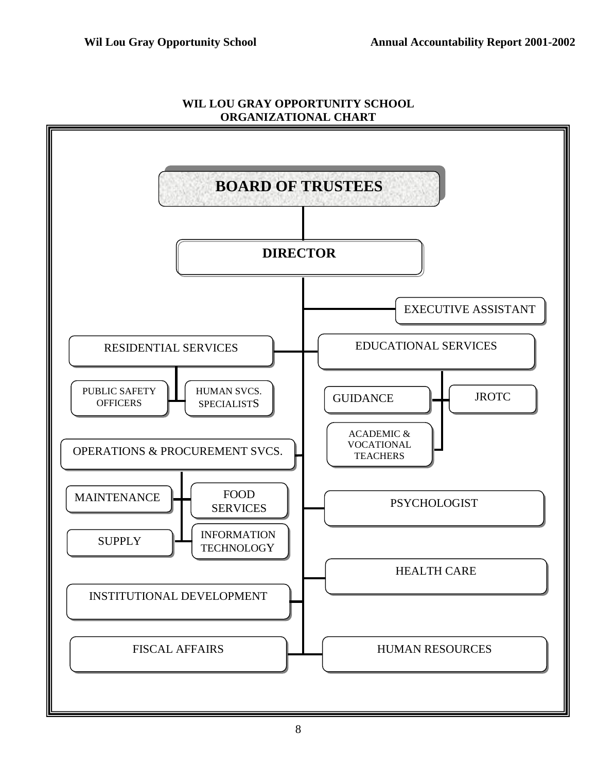

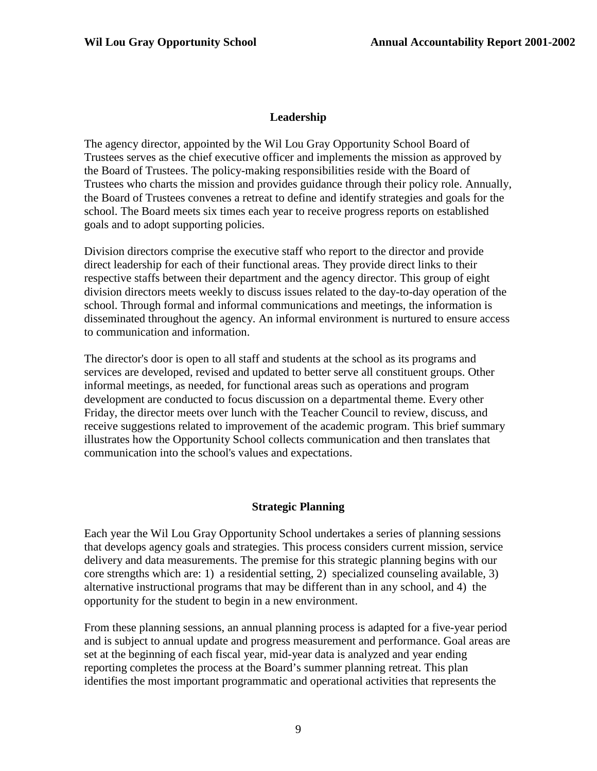#### **Leadership**

The agency director, appointed by the Wil Lou Gray Opportunity School Board of Trustees serves as the chief executive officer and implements the mission as approved by the Board of Trustees. The policy-making responsibilities reside with the Board of Trustees who charts the mission and provides guidance through their policy role. Annually, the Board of Trustees convenes a retreat to define and identify strategies and goals for the school. The Board meets six times each year to receive progress reports on established goals and to adopt supporting policies.

Division directors comprise the executive staff who report to the director and provide direct leadership for each of their functional areas. They provide direct links to their respective staffs between their department and the agency director. This group of eight division directors meets weekly to discuss issues related to the day-to-day operation of the school. Through formal and informal communications and meetings, the information is disseminated throughout the agency. An informal environment is nurtured to ensure access to communication and information.

The director's door is open to all staff and students at the school as its programs and services are developed, revised and updated to better serve all constituent groups. Other informal meetings, as needed, for functional areas such as operations and program development are conducted to focus discussion on a departmental theme. Every other Friday, the director meets over lunch with the Teacher Council to review, discuss, and receive suggestions related to improvement of the academic program. This brief summary illustrates how the Opportunity School collects communication and then translates that communication into the school's values and expectations.

#### **Strategic Planning**

Each year the Wil Lou Gray Opportunity School undertakes a series of planning sessions that develops agency goals and strategies. This process considers current mission, service delivery and data measurements. The premise for this strategic planning begins with our core strengths which are: 1) a residential setting, 2) specialized counseling available, 3) alternative instructional programs that may be different than in any school, and 4) the opportunity for the student to begin in a new environment.

From these planning sessions, an annual planning process is adapted for a five-year period and is subject to annual update and progress measurement and performance. Goal areas are set at the beginning of each fiscal year, mid-year data is analyzed and year ending reporting completes the process at the Board's summer planning retreat. This plan identifies the most important programmatic and operational activities that represents the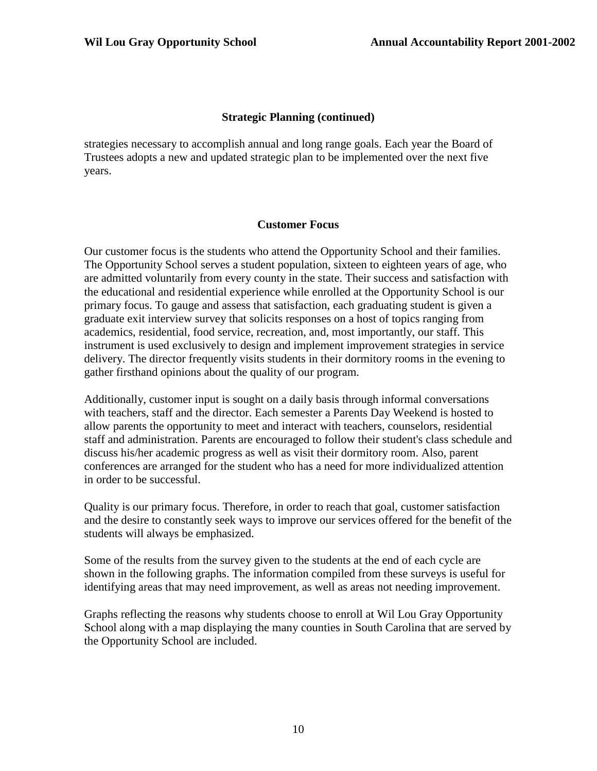#### **Strategic Planning (continued)**

strategies necessary to accomplish annual and long range goals. Each year the Board of Trustees adopts a new and updated strategic plan to be implemented over the next five years.

#### **Customer Focus**

Our customer focus is the students who attend the Opportunity School and their families. The Opportunity School serves a student population, sixteen to eighteen years of age, who are admitted voluntarily from every county in the state. Their success and satisfaction with the educational and residential experience while enrolled at the Opportunity School is our primary focus. To gauge and assess that satisfaction, each graduating student is given a graduate exit interview survey that solicits responses on a host of topics ranging from academics, residential, food service, recreation, and, most importantly, our staff. This instrument is used exclusively to design and implement improvement strategies in service delivery. The director frequently visits students in their dormitory rooms in the evening to gather firsthand opinions about the quality of our program.

Additionally, customer input is sought on a daily basis through informal conversations with teachers, staff and the director. Each semester a Parents Day Weekend is hosted to allow parents the opportunity to meet and interact with teachers, counselors, residential staff and administration. Parents are encouraged to follow their student's class schedule and discuss his/her academic progress as well as visit their dormitory room. Also, parent conferences are arranged for the student who has a need for more individualized attention in order to be successful.

Quality is our primary focus. Therefore, in order to reach that goal, customer satisfaction and the desire to constantly seek ways to improve our services offered for the benefit of the students will always be emphasized.

Some of the results from the survey given to the students at the end of each cycle are shown in the following graphs. The information compiled from these surveys is useful for identifying areas that may need improvement, as well as areas not needing improvement.

Graphs reflecting the reasons why students choose to enroll at Wil Lou Gray Opportunity School along with a map displaying the many counties in South Carolina that are served by the Opportunity School are included.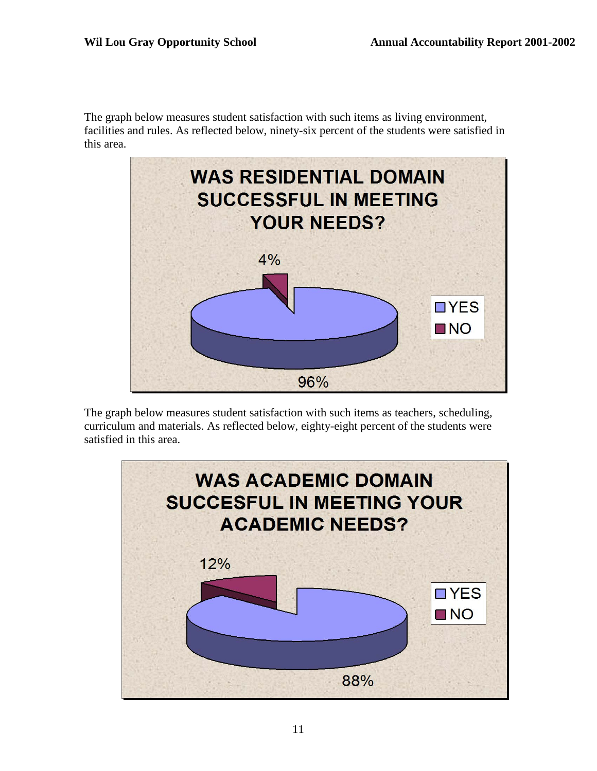The graph below measures student satisfaction with such items as living environment, facilities and rules. As reflected below, ninety-six percent of the students were satisfied in this area.



The graph below measures student satisfaction with such items as teachers, scheduling, curriculum and materials. As reflected below, eighty-eight percent of the students were satisfied in this area.

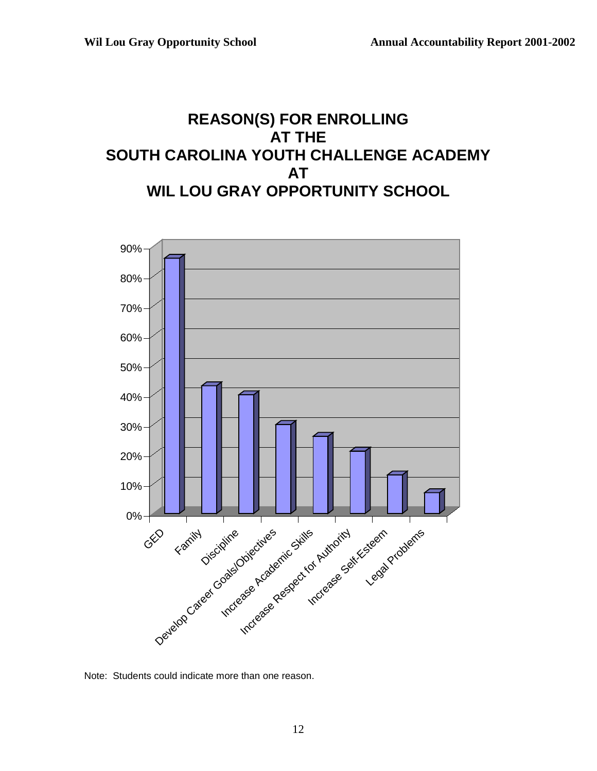### **REASON(S) FOR ENROLLING AT THE SOUTH CAROLINA YOUTH CHALLENGE ACADEMY AT WIL LOU GRAY OPPORTUNITY SCHOOL**



Note: Students could indicate more than one reason.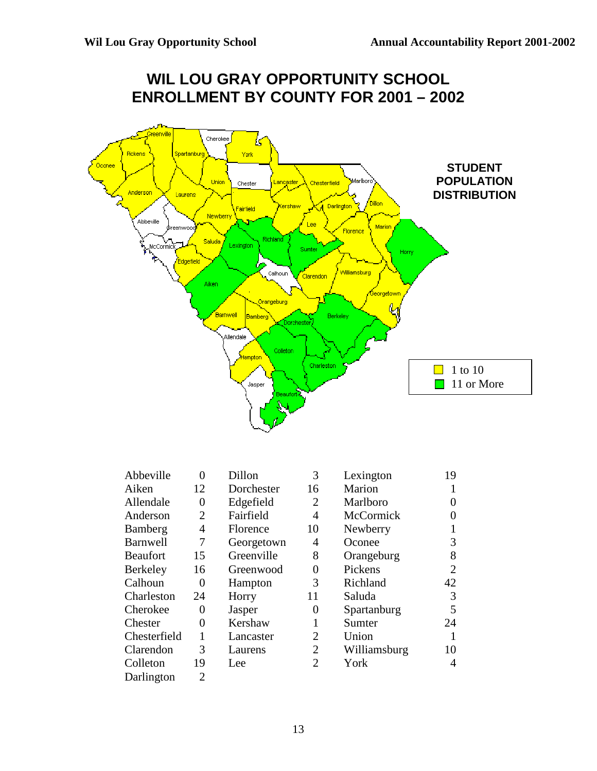Darlington 2



| Abbeville       | 0              | Dillon     | 3              | Lexington    | 19             |
|-----------------|----------------|------------|----------------|--------------|----------------|
| Aiken           | 12             | Dorchester | 16             | Marion       |                |
| Allendale       | $\theta$       | Edgefield  | 2              | Marlboro     | 0              |
| Anderson        | $\overline{2}$ | Fairfield  | 4              | McCormick    | 0              |
| Bamberg         | 4              | Florence   | 10             | Newberry     | 1              |
| <b>Barnwell</b> | 7              | Georgetown | 4              | Oconee       | 3              |
| <b>Beaufort</b> | 15             | Greenville | 8              | Orangeburg   | 8              |
| <b>Berkeley</b> | 16             | Greenwood  | 0              | Pickens      | $\overline{2}$ |
| Calhoun         | $\theta$       | Hampton    | 3              | Richland     | 42             |
| Charleston      | 24             | Horry      | 11             | Saluda       | 3              |
| Cherokee        | $\theta$       | Jasper     | 0              | Spartanburg  | 5              |
| Chester         | 0              | Kershaw    |                | Sumter       | 24             |
| Chesterfield    | 1              | Lancaster  | 2              | Union        | 1              |
| Clarendon       | 3              | Laurens    | 2              | Williamsburg | 10             |
| Colleton        | 19             | Lee        | $\overline{2}$ | York         | 4              |
|                 |                |            |                |              |                |

# **WIL LOU GRAY OPPORTUNITY SCHOOL**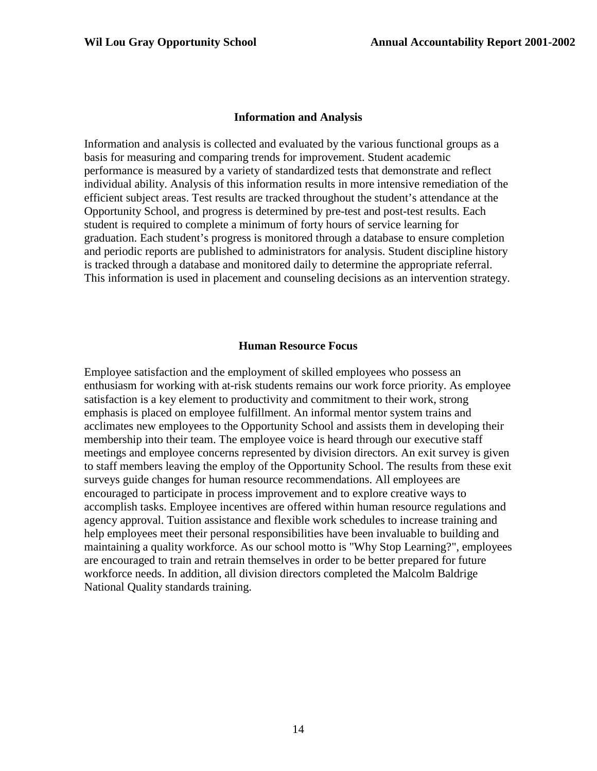#### **Information and Analysis**

Information and analysis is collected and evaluated by the various functional groups as a basis for measuring and comparing trends for improvement. Student academic performance is measured by a variety of standardized tests that demonstrate and reflect individual ability. Analysis of this information results in more intensive remediation of the efficient subject areas. Test results are tracked throughout the student's attendance at the Opportunity School, and progress is determined by pre-test and post-test results. Each student is required to complete a minimum of forty hours of service learning for graduation. Each student's progress is monitored through a database to ensure completion and periodic reports are published to administrators for analysis. Student discipline history is tracked through a database and monitored daily to determine the appropriate referral. This information is used in placement and counseling decisions as an intervention strategy.

#### **Human Resource Focus**

Employee satisfaction and the employment of skilled employees who possess an enthusiasm for working with at-risk students remains our work force priority. As employee satisfaction is a key element to productivity and commitment to their work, strong emphasis is placed on employee fulfillment. An informal mentor system trains and acclimates new employees to the Opportunity School and assists them in developing their membership into their team. The employee voice is heard through our executive staff meetings and employee concerns represented by division directors. An exit survey is given to staff members leaving the employ of the Opportunity School. The results from these exit surveys guide changes for human resource recommendations. All employees are encouraged to participate in process improvement and to explore creative ways to accomplish tasks. Employee incentives are offered within human resource regulations and agency approval. Tuition assistance and flexible work schedules to increase training and help employees meet their personal responsibilities have been invaluable to building and maintaining a quality workforce. As our school motto is "Why Stop Learning?", employees are encouraged to train and retrain themselves in order to be better prepared for future workforce needs. In addition, all division directors completed the Malcolm Baldrige National Quality standards training.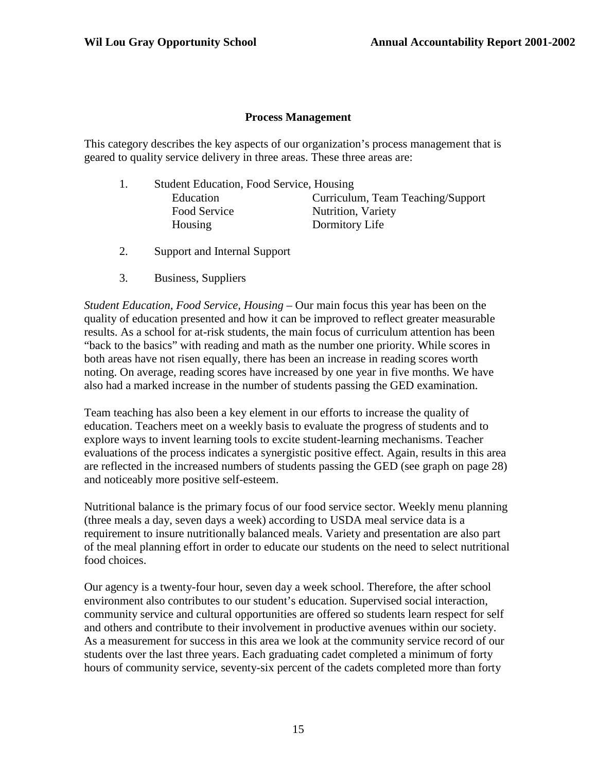#### **Process Management**

This category describes the key aspects of our organization's process management that is geared to quality service delivery in three areas. These three areas are:

- 1. Student Education, Food Service, Housing Education Curriculum, Team Teaching/Support Food Service Nutrition, Variety Housing Dormitory Life
- 2. Support and Internal Support
- 3. Business, Suppliers

*Student Education, Food Service, Housing –* Our main focus this year has been on the quality of education presented and how it can be improved to reflect greater measurable results. As a school for at-risk students, the main focus of curriculum attention has been "back to the basics" with reading and math as the number one priority. While scores in both areas have not risen equally, there has been an increase in reading scores worth noting. On average, reading scores have increased by one year in five months. We have also had a marked increase in the number of students passing the GED examination.

Team teaching has also been a key element in our efforts to increase the quality of education. Teachers meet on a weekly basis to evaluate the progress of students and to explore ways to invent learning tools to excite student-learning mechanisms. Teacher evaluations of the process indicates a synergistic positive effect. Again, results in this area are reflected in the increased numbers of students passing the GED (see graph on page 28) and noticeably more positive self-esteem.

Nutritional balance is the primary focus of our food service sector. Weekly menu planning (three meals a day, seven days a week) according to USDA meal service data is a requirement to insure nutritionally balanced meals. Variety and presentation are also part of the meal planning effort in order to educate our students on the need to select nutritional food choices.

Our agency is a twenty-four hour, seven day a week school. Therefore, the after school environment also contributes to our student's education. Supervised social interaction, community service and cultural opportunities are offered so students learn respect for self and others and contribute to their involvement in productive avenues within our society. As a measurement for success in this area we look at the community service record of our students over the last three years. Each graduating cadet completed a minimum of forty hours of community service, seventy-six percent of the cadets completed more than forty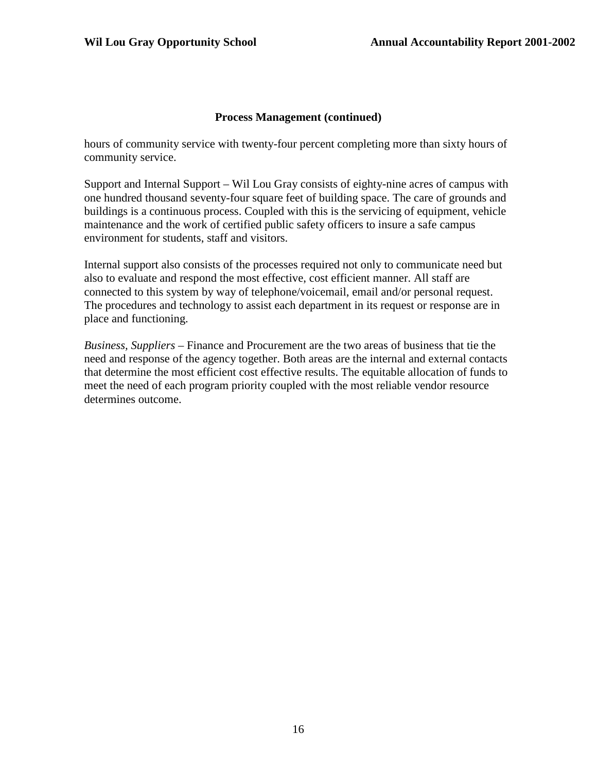#### **Process Management (continued)**

hours of community service with twenty-four percent completing more than sixty hours of community service.

Support and Internal Support – Wil Lou Gray consists of eighty-nine acres of campus with one hundred thousand seventy-four square feet of building space. The care of grounds and buildings is a continuous process. Coupled with this is the servicing of equipment, vehicle maintenance and the work of certified public safety officers to insure a safe campus environment for students, staff and visitors.

Internal support also consists of the processes required not only to communicate need but also to evaluate and respond the most effective, cost efficient manner. All staff are connected to this system by way of telephone/voicemail, email and/or personal request. The procedures and technology to assist each department in its request or response are in place and functioning.

*Business, Suppliers –* Finance and Procurement are the two areas of business that tie the need and response of the agency together. Both areas are the internal and external contacts that determine the most efficient cost effective results. The equitable allocation of funds to meet the need of each program priority coupled with the most reliable vendor resource determines outcome.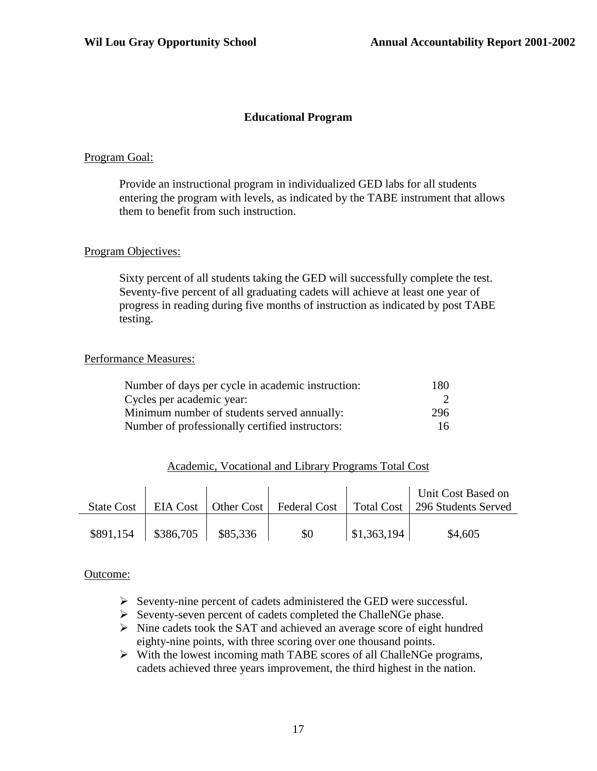#### **Educational Program**

#### Program Goal:

Provide an instructional program in individualized GED labs for all students entering the program with levels, as indicated by the TABE instrument that allows them to benefit from such instruction.

#### Program Objectives:

Sixty percent of all students taking the GED will successfully complete the test. Seventy-five percent of all graduating cadets will achieve at least one year of progress in reading during five months of instruction as indicated by post TABE testing.

#### Performance Measures:

| Number of days per cycle in academic instruction: | 180 |
|---------------------------------------------------|-----|
| Cycles per academic year:                         |     |
| Minimum number of students served annually:       | 296 |
| Number of professionally certified instructors:   | 16  |

#### Academic, Vocational and Library Programs Total Cost

| <b>State Cost</b> |                      |          |     |                     | Unit Cost Based on<br>EIA Cost   Other Cost   Federal Cost   Total Cost   296 Students Served |
|-------------------|----------------------|----------|-----|---------------------|-----------------------------------------------------------------------------------------------|
| \$891,154         | $\frac{$386,705}{ }$ | \$85,336 | \$0 | $\vert$ \$1,363,194 | \$4,605                                                                                       |

#### Outcome:

- $\triangleright$  Seventy-nine percent of cadets administered the GED were successful.
- $\triangleright$  Seventy-seven percent of cadets completed the ChalleNGe phase.
- $\triangleright$  Nine cadets took the SAT and achieved an average score of eight hundred eighty-nine points, with three scoring over one thousand points.
- $\triangleright$  With the lowest incoming math TABE scores of all ChalleNGe programs, cadets achieved three years improvement, the third highest in the nation.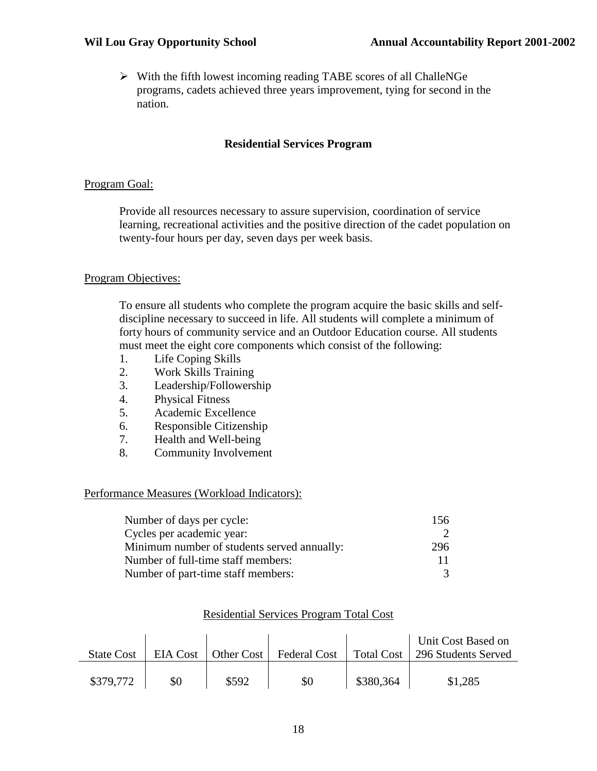$\triangleright$  With the fifth lowest incoming reading TABE scores of all ChalleNGe programs, cadets achieved three years improvement, tying for second in the nation.

#### **Residential Services Program**

#### Program Goal:

Provide all resources necessary to assure supervision, coordination of service learning, recreational activities and the positive direction of the cadet population on twenty-four hours per day, seven days per week basis.

#### Program Objectives:

To ensure all students who complete the program acquire the basic skills and selfdiscipline necessary to succeed in life. All students will complete a minimum of forty hours of community service and an Outdoor Education course. All students must meet the eight core components which consist of the following:

- 1. Life Coping Skills
- 2. Work Skills Training
- 3. Leadership/Followership
- 4. Physical Fitness
- 5. Academic Excellence
- 6. Responsible Citizenship
- 7. Health and Well-being
- 8. Community Involvement

#### Performance Measures (Workload Indicators):

| Number of days per cycle:                   | 156 |
|---------------------------------------------|-----|
| Cycles per academic year:                   |     |
| Minimum number of students served annually: | 296 |
| Number of full-time staff members:          | 11  |
| Number of part-time staff members:          | 3   |

|                   |     |                       |                     |           | Unit Cost Based on               |
|-------------------|-----|-----------------------|---------------------|-----------|----------------------------------|
| <b>State Cost</b> |     | EIA Cost   Other Cost | <b>Federal Cost</b> |           | Total Cost   296 Students Served |
| \$379,772         | \$0 | \$592                 | \$0                 | \$380,364 | \$1,285                          |

#### Residential Services Program Total Cost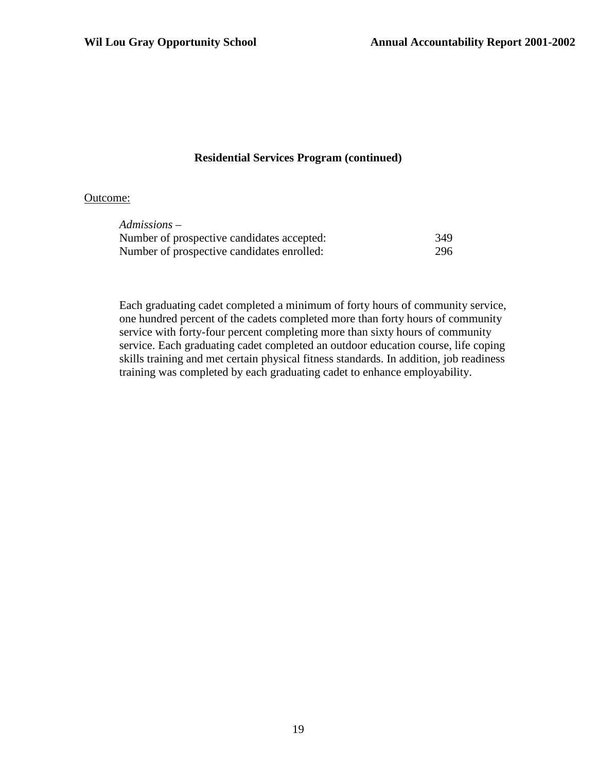#### **Residential Services Program (continued)**

#### Outcome:

| Admissions –                               |     |
|--------------------------------------------|-----|
| Number of prospective candidates accepted: | 349 |
| Number of prospective candidates enrolled: | 296 |

Each graduating cadet completed a minimum of forty hours of community service, one hundred percent of the cadets completed more than forty hours of community service with forty-four percent completing more than sixty hours of community service. Each graduating cadet completed an outdoor education course, life coping skills training and met certain physical fitness standards. In addition, job readiness training was completed by each graduating cadet to enhance employability.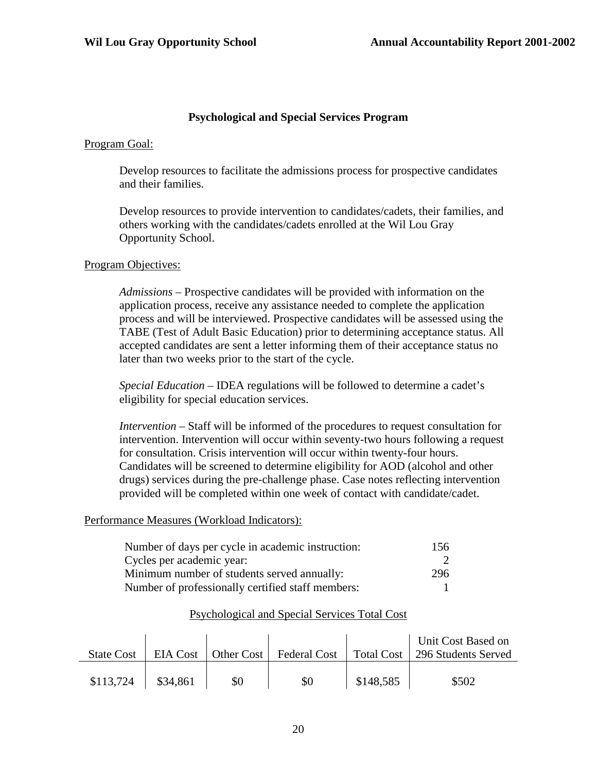#### **Psychological and Special Services Program**

#### Program Goal:

Develop resources to facilitate the admissions process for prospective candidates and their families.

Develop resources to provide intervention to candidates/cadets, their families, and others working with the candidates/cadets enrolled at the Wil Lou Gray Opportunity School.

#### Program Objectives:

*Admissions* – Prospective candidates will be provided with information on the application process, receive any assistance needed to complete the application process and will be interviewed. Prospective candidates will be assessed using the TABE (Test of Adult Basic Education) prior to determining acceptance status. All accepted candidates are sent a letter informing them of their acceptance status no later than two weeks prior to the start of the cycle.

*Special Education* – IDEA regulations will be followed to determine a cadet's eligibility for special education services.

*Intervention* – Staff will be informed of the procedures to request consultation for intervention. Intervention will occur within seventy-two hours following a request for consultation. Crisis intervention will occur within twenty-four hours. Candidates will be screened to determine eligibility for AOD (alcohol and other drugs) services during the pre-challenge phase. Case notes reflecting intervention provided will be completed within one week of contact with candidate/cadet.

#### Performance Measures (Workload Indicators):

| Number of days per cycle in academic instruction: | 156 |
|---------------------------------------------------|-----|
| Cycles per academic year:                         |     |
| Minimum number of students served annually:       | 296 |
| Number of professionally certified staff members: |     |

#### Psychological and Special Services Total Cost

| <b>State Cost</b> |          |     |     |           | Unit Cost Based on<br>EIA Cost   Other Cost   Federal Cost   Total Cost   296 Students Served |
|-------------------|----------|-----|-----|-----------|-----------------------------------------------------------------------------------------------|
| \$113,724         | \$34,861 | \$0 | \$0 | \$148,585 | \$502                                                                                         |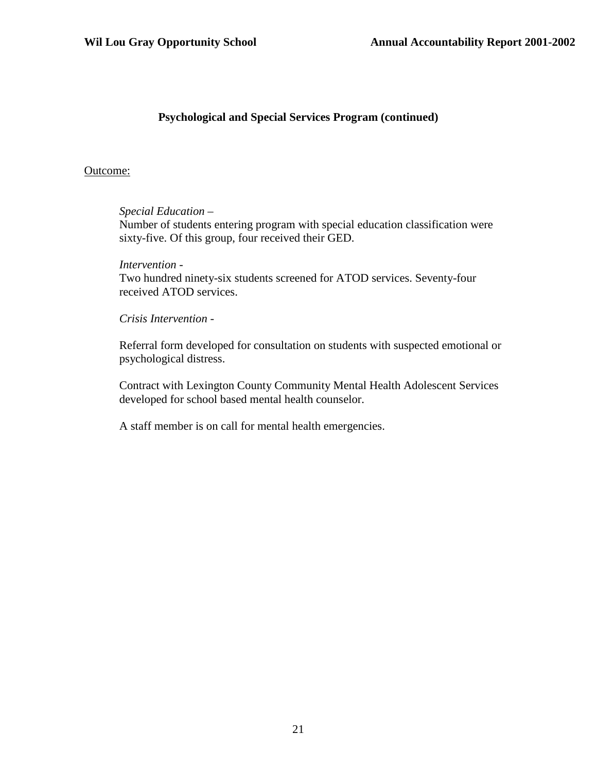#### **Psychological and Special Services Program (continued)**

#### Outcome:

#### *Special Education* –

Number of students entering program with special education classification were sixty-five. Of this group, four received their GED.

#### *Intervention* -

Two hundred ninety-six students screened for ATOD services. Seventy-four received ATOD services.

#### *Crisis Intervention -*

Referral form developed for consultation on students with suspected emotional or psychological distress.

Contract with Lexington County Community Mental Health Adolescent Services developed for school based mental health counselor.

A staff member is on call for mental health emergencies.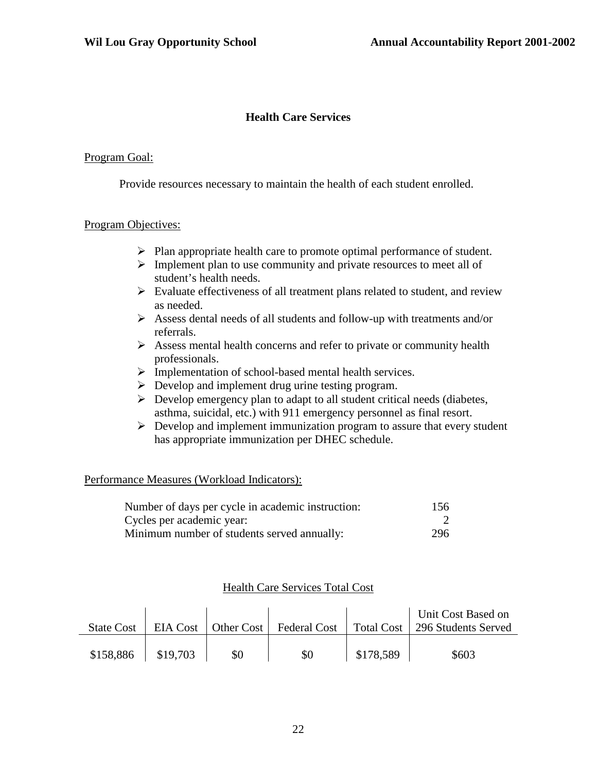#### **Health Care Services**

#### Program Goal:

Provide resources necessary to maintain the health of each student enrolled.

#### Program Objectives:

- $\triangleright$  Plan appropriate health care to promote optimal performance of student.
- $\triangleright$  Implement plan to use community and private resources to meet all of student's health needs.
- $\triangleright$  Evaluate effectiveness of all treatment plans related to student, and review as needed.
- Assess dental needs of all students and follow-up with treatments and/or referrals.
- $\triangleright$  Assess mental health concerns and refer to private or community health professionals.
- > Implementation of school-based mental health services.
- $\triangleright$  Develop and implement drug urine testing program.
- $\triangleright$  Develop emergency plan to adapt to all student critical needs (diabetes, asthma, suicidal, etc.) with 911 emergency personnel as final resort.
- $\triangleright$  Develop and implement immunization program to assure that every student has appropriate immunization per DHEC schedule.

#### Performance Measures (Workload Indicators):

| Number of days per cycle in academic instruction: | 156 |
|---------------------------------------------------|-----|
| Cycles per academic year:                         |     |
| Minimum number of students served annually:       | 296 |

#### Health Care Services Total Cost

| <b>State Cost</b> |          |     |     |           | Unit Cost Based on<br>EIA Cost   Other Cost   Federal Cost   Total Cost   296 Students Served |
|-------------------|----------|-----|-----|-----------|-----------------------------------------------------------------------------------------------|
| \$158,886         | \$19,703 | \$0 | \$0 | \$178,589 | \$603                                                                                         |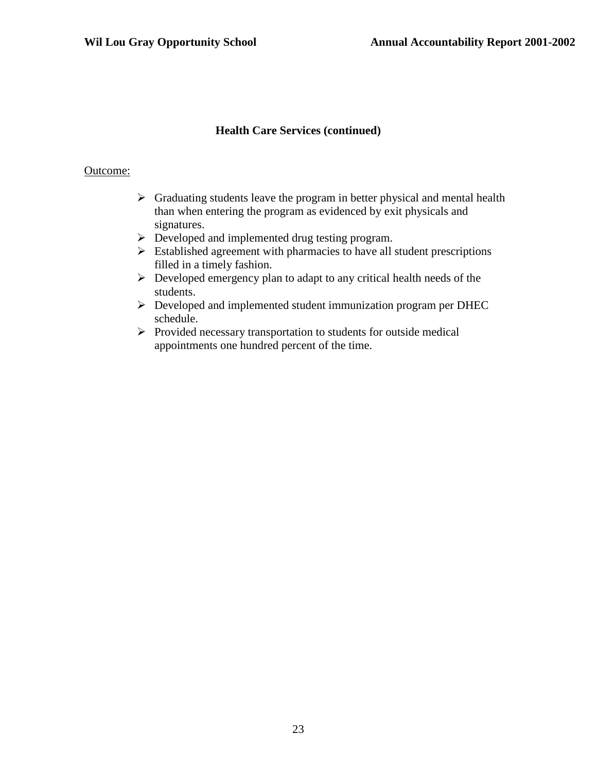#### **Health Care Services (continued)**

#### Outcome:

- $\triangleright$  Graduating students leave the program in better physical and mental health than when entering the program as evidenced by exit physicals and signatures.
- Developed and implemented drug testing program.
- $\triangleright$  Established agreement with pharmacies to have all student prescriptions filled in a timely fashion.
- $\triangleright$  Developed emergency plan to adapt to any critical health needs of the students.
- Developed and implemented student immunization program per DHEC schedule.
- $\triangleright$  Provided necessary transportation to students for outside medical appointments one hundred percent of the time.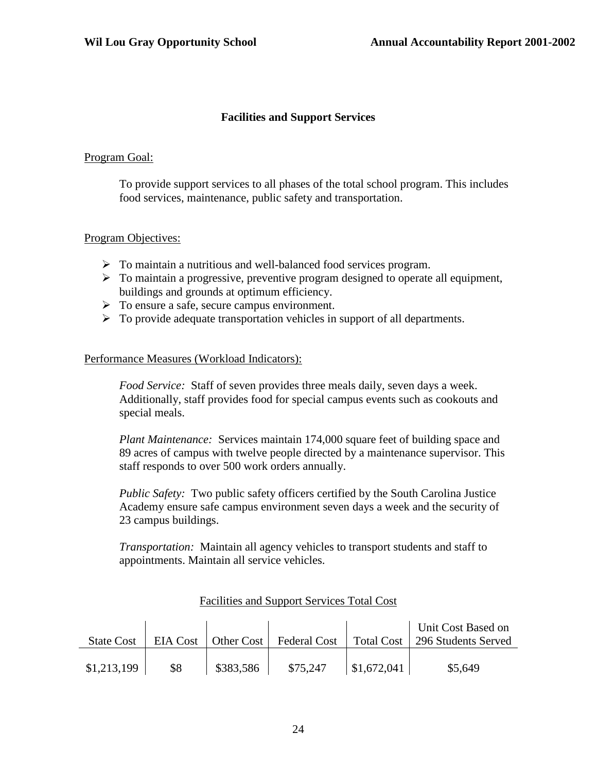#### **Facilities and Support Services**

#### Program Goal:

To provide support services to all phases of the total school program. This includes food services, maintenance, public safety and transportation.

#### Program Objectives:

- To maintain a nutritious and well-balanced food services program.
- $\triangleright$  To maintain a progressive, preventive program designed to operate all equipment, buildings and grounds at optimum efficiency.
- $\triangleright$  To ensure a safe, secure campus environment.
- $\triangleright$  To provide adequate transportation vehicles in support of all departments.

#### Performance Measures (Workload Indicators):

*Food Service:* Staff of seven provides three meals daily, seven days a week. Additionally, staff provides food for special campus events such as cookouts and special meals.

*Plant Maintenance:* Services maintain 174,000 square feet of building space and 89 acres of campus with twelve people directed by a maintenance supervisor. This staff responds to over 500 work orders annually.

*Public Safety:* Two public safety officers certified by the South Carolina Justice Academy ensure safe campus environment seven days a week and the security of 23 campus buildings.

*Transportation:* Maintain all agency vehicles to transport students and staff to appointments. Maintain all service vehicles.

| <b>State Cost</b> |     |           |          |                     | Unit Cost Based on<br>EIA Cost   Other Cost   Federal Cost   Total Cost   296 Students Served |
|-------------------|-----|-----------|----------|---------------------|-----------------------------------------------------------------------------------------------|
| \$1,213,199       | \$8 | \$383,586 | \$75,247 | $\vert$ \$1,672,041 | \$5,649                                                                                       |

#### Facilities and Support Services Total Cost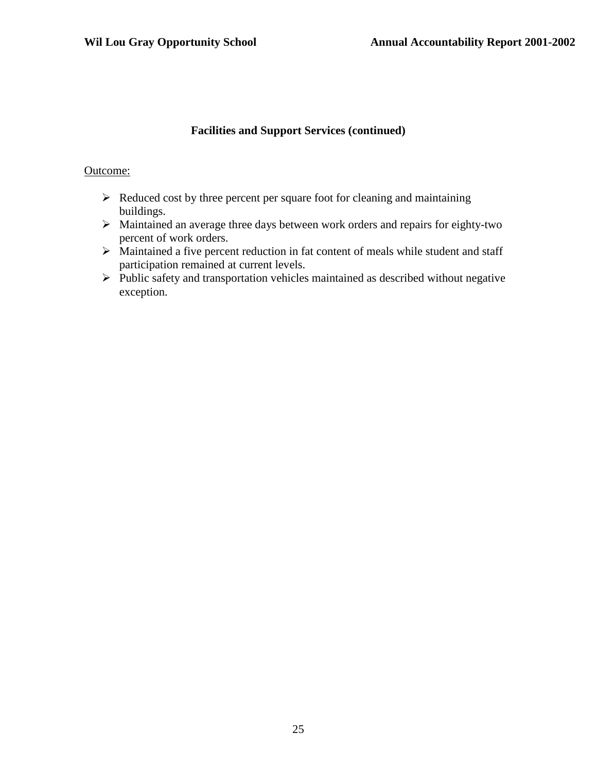#### **Facilities and Support Services (continued)**

#### Outcome:

- $\triangleright$  Reduced cost by three percent per square foot for cleaning and maintaining buildings.
- $\triangleright$  Maintained an average three days between work orders and repairs for eighty-two percent of work orders.
- $\triangleright$  Maintained a five percent reduction in fat content of meals while student and staff participation remained at current levels.
- $\triangleright$  Public safety and transportation vehicles maintained as described without negative exception.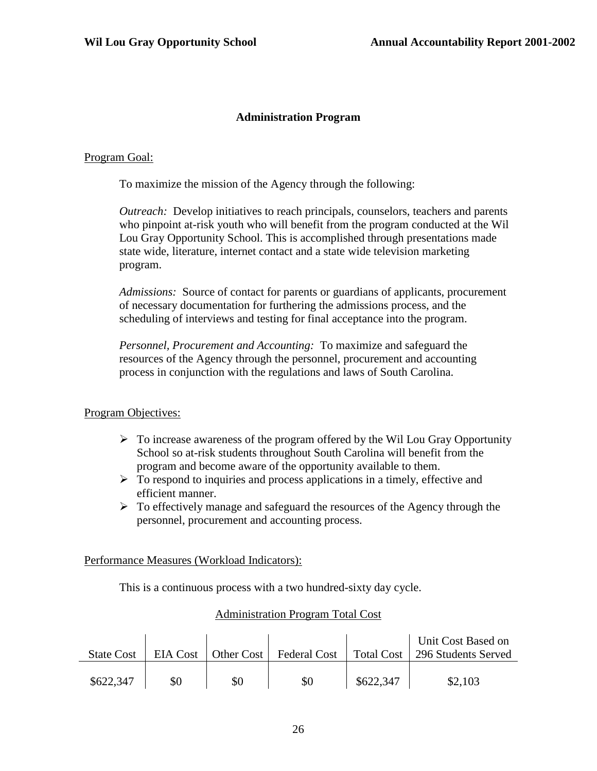#### **Administration Program**

#### Program Goal:

To maximize the mission of the Agency through the following:

*Outreach:* Develop initiatives to reach principals, counselors, teachers and parents who pinpoint at-risk youth who will benefit from the program conducted at the Wil Lou Gray Opportunity School. This is accomplished through presentations made state wide, literature, internet contact and a state wide television marketing program.

*Admissions:* Source of contact for parents or guardians of applicants, procurement of necessary documentation for furthering the admissions process, and the scheduling of interviews and testing for final acceptance into the program.

*Personnel, Procurement and Accounting:* To maximize and safeguard the resources of the Agency through the personnel, procurement and accounting process in conjunction with the regulations and laws of South Carolina.

#### Program Objectives:

- $\triangleright$  To increase awareness of the program offered by the Wil Lou Gray Opportunity School so at-risk students throughout South Carolina will benefit from the program and become aware of the opportunity available to them.
- $\triangleright$  To respond to inquiries and process applications in a timely, effective and efficient manner.
- $\triangleright$  To effectively manage and safeguard the resources of the Agency through the personnel, procurement and accounting process.

#### Performance Measures (Workload Indicators):

This is a continuous process with a two hundred-sixty day cycle.

#### Administration Program Total Cost

| <b>State Cost</b> |     |     |     |           | Unit Cost Based on<br>EIA Cost   Other Cost   Federal Cost   Total Cost   296 Students Served |
|-------------------|-----|-----|-----|-----------|-----------------------------------------------------------------------------------------------|
| \$622,347         | \$0 | \$0 | \$0 | \$622,347 | \$2,103                                                                                       |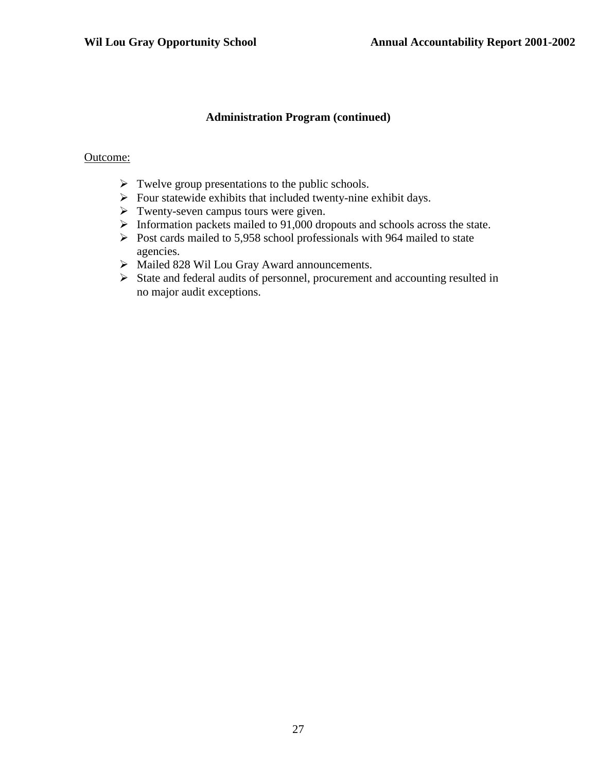#### **Administration Program (continued)**

#### Outcome:

- $\triangleright$  Twelve group presentations to the public schools.
- $\triangleright$  Four statewide exhibits that included twenty-nine exhibit days.
- $\triangleright$  Twenty-seven campus tours were given.
- $\triangleright$  Information packets mailed to 91,000 dropouts and schools across the state.
- $\triangleright$  Post cards mailed to 5,958 school professionals with 964 mailed to state agencies.
- Mailed 828 Wil Lou Gray Award announcements.
- State and federal audits of personnel, procurement and accounting resulted in no major audit exceptions.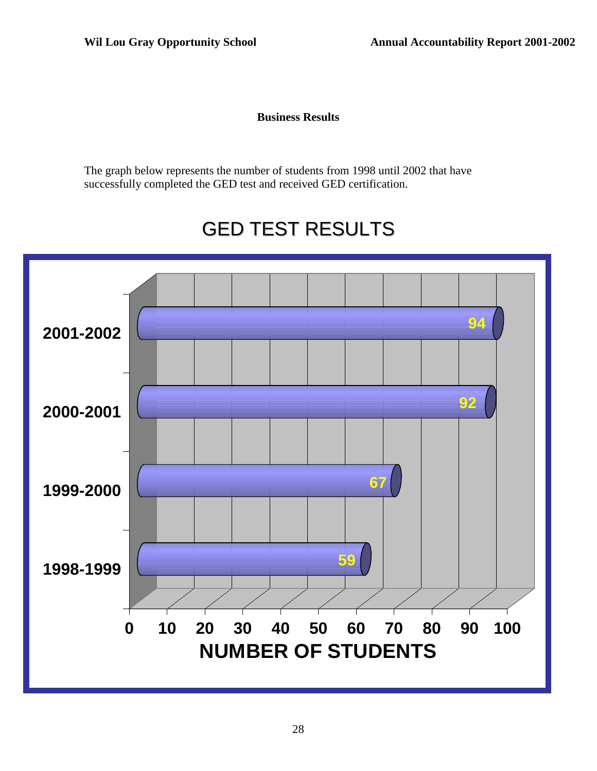**Business Results**

The graph below represents the number of students from 1998 until 2002 that have successfully completed the GED test and received GED certification.

## GED TEST RESULTS

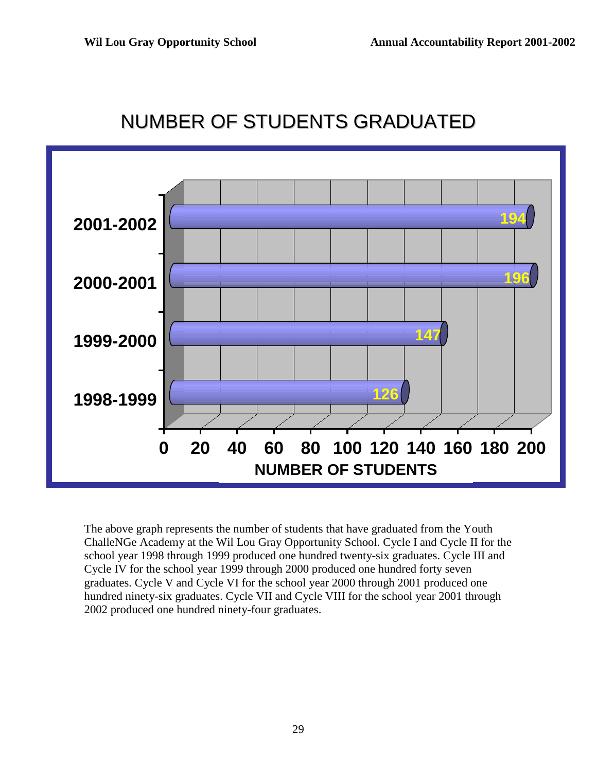

## NUMBER OF STUDENTS GRADUATED

The above graph represents the number of students that have graduated from the Youth ChalleNGe Academy at the Wil Lou Gray Opportunity School. Cycle I and Cycle II for the school year 1998 through 1999 produced one hundred twenty-six graduates. Cycle III and Cycle IV for the school year 1999 through 2000 produced one hundred forty seven graduates. Cycle V and Cycle VI for the school year 2000 through 2001 produced one hundred ninety-six graduates. Cycle VII and Cycle VIII for the school year 2001 through 2002 produced one hundred ninety-four graduates.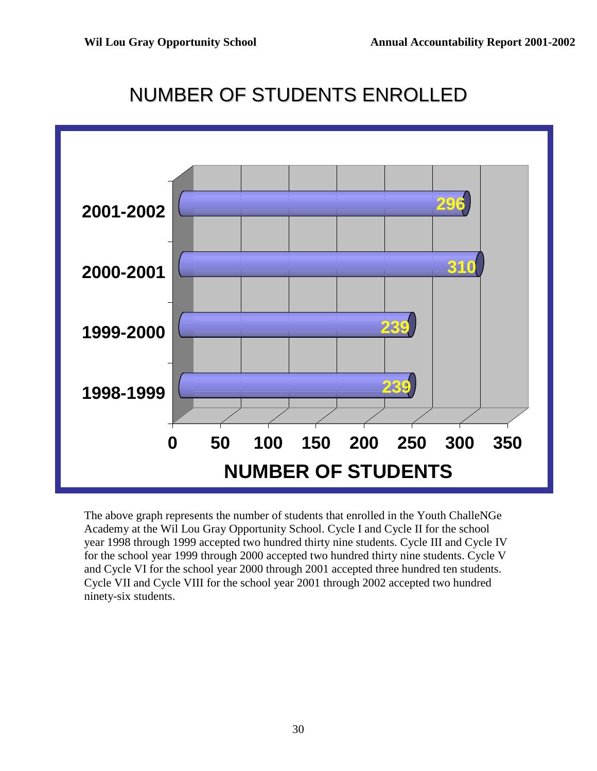## NUMBER OF STUDENTS ENROLLED



The above graph represents the number of students that enrolled in the Youth ChalleNGe Academy at the Wil Lou Gray Opportunity School. Cycle I and Cycle II for the school year 1998 through 1999 accepted two hundred thirty nine students. Cycle III and Cycle IV for the school year 1999 through 2000 accepted two hundred thirty nine students. Cycle V and Cycle VI for the school year 2000 through 2001 accepted three hundred ten students. Cycle VII and Cycle VIII for the school year 2001 through 2002 accepted two hundred ninety-six students.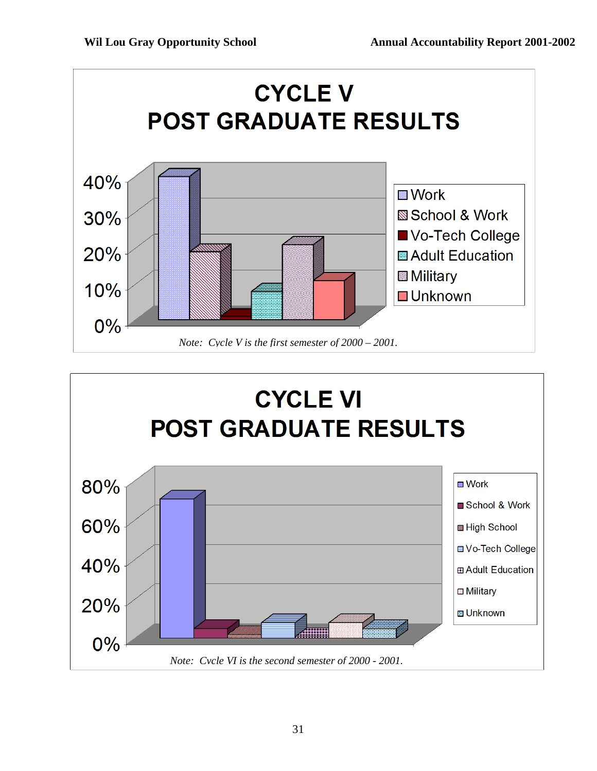